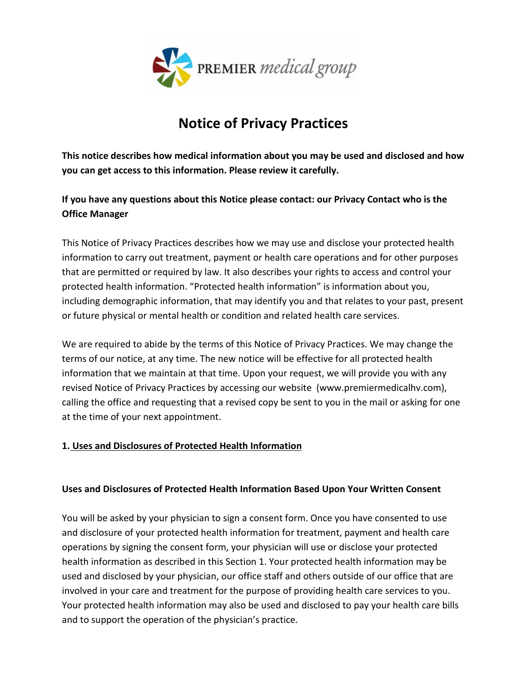

# **Notice of Privacy Practices**

**This notice describes how medical information about you may be used and disclosed and how you can get access to this information. Please review it carefully.**

**If you have any questions about this Notice please contact: our Privacy Contact who is the Office Manager**

This Notice of Privacy Practices describes how we may use and disclose your protected health information to carry out treatment, payment or health care operations and for other purposes that are permitted or required by law. It also describes your rights to access and control your protected health information. "Protected health information" is information about you, including demographic information, that may identify you and that relates to your past, present or future physical or mental health or condition and related health care services.

We are required to abide by the terms of this Notice of Privacy Practices. We may change the terms of our notice, at any time. The new notice will be effective for all protected health information that we maintain at that time. Upon your request, we will provide you with any revised Notice of Privacy Practices by accessing our website (www.premiermedicalhv.com), calling the office and requesting that a revised copy be sent to you in the mail or asking for one at the time of your next appointment.

### **1. Uses and Disclosures of Protected Health Information**

#### **Uses and Disclosures of Protected Health Information Based Upon Your Written Consent**

You will be asked by your physician to sign a consent form. Once you have consented to use and disclosure of your protected health information for treatment, payment and health care operations by signing the consent form, your physician will use or disclose your protected health information as described in this Section 1. Your protected health information may be used and disclosed by your physician, our office staff and others outside of our office that are involved in your care and treatment for the purpose of providing health care services to you. Your protected health information may also be used and disclosed to pay your health care bills and to support the operation of the physician's practice.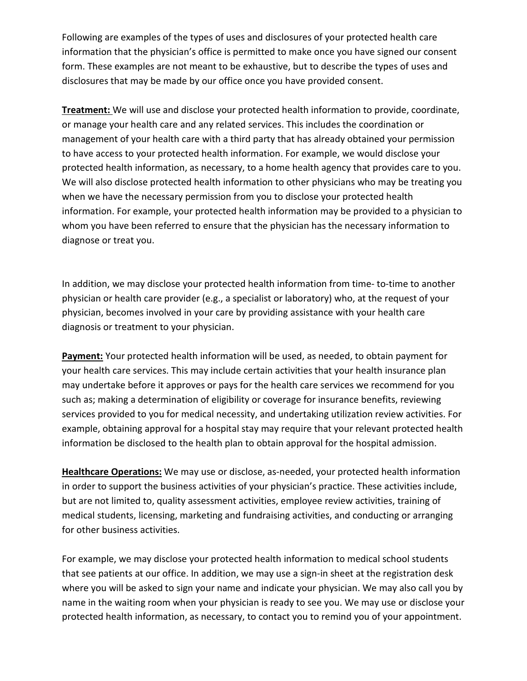Following are examples of the types of uses and disclosures of your protected health care information that the physician's office is permitted to make once you have signed our consent form. These examples are not meant to be exhaustive, but to describe the types of uses and disclosures that may be made by our office once you have provided consent.

**Treatment:** We will use and disclose your protected health information to provide, coordinate, or manage your health care and any related services. This includes the coordination or management of your health care with a third party that has already obtained your permission to have access to your protected health information. For example, we would disclose your protected health information, as necessary, to a home health agency that provides care to you. We will also disclose protected health information to other physicians who may be treating you when we have the necessary permission from you to disclose your protected health information. For example, your protected health information may be provided to a physician to whom you have been referred to ensure that the physician has the necessary information to diagnose or treat you.

In addition, we may disclose your protected health information from time- to-time to another physician or health care provider (e.g., a specialist or laboratory) who, at the request of your physician, becomes involved in your care by providing assistance with your health care diagnosis or treatment to your physician.

**Payment:** Your protected health information will be used, as needed, to obtain payment for your health care services. This may include certain activities that your health insurance plan may undertake before it approves or pays for the health care services we recommend for you such as; making a determination of eligibility or coverage for insurance benefits, reviewing services provided to you for medical necessity, and undertaking utilization review activities. For example, obtaining approval for a hospital stay may require that your relevant protected health information be disclosed to the health plan to obtain approval for the hospital admission.

**Healthcare Operations:** We may use or disclose, as-needed, your protected health information in order to support the business activities of your physician's practice. These activities include, but are not limited to, quality assessment activities, employee review activities, training of medical students, licensing, marketing and fundraising activities, and conducting or arranging for other business activities.

For example, we may disclose your protected health information to medical school students that see patients at our office. In addition, we may use a sign-in sheet at the registration desk where you will be asked to sign your name and indicate your physician. We may also call you by name in the waiting room when your physician is ready to see you. We may use or disclose your protected health information, as necessary, to contact you to remind you of your appointment.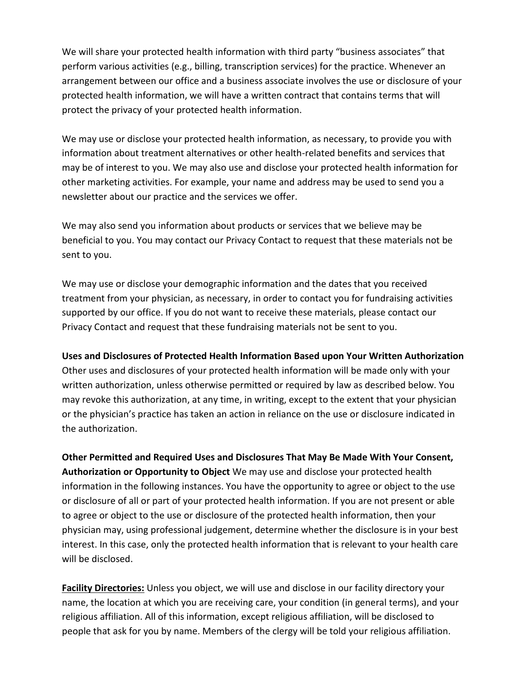We will share your protected health information with third party "business associates" that perform various activities (e.g., billing, transcription services) for the practice. Whenever an arrangement between our office and a business associate involves the use or disclosure of your protected health information, we will have a written contract that contains terms that will protect the privacy of your protected health information.

We may use or disclose your protected health information, as necessary, to provide you with information about treatment alternatives or other health-related benefits and services that may be of interest to you. We may also use and disclose your protected health information for other marketing activities. For example, your name and address may be used to send you a newsletter about our practice and the services we offer.

We may also send you information about products or services that we believe may be beneficial to you. You may contact our Privacy Contact to request that these materials not be sent to you.

We may use or disclose your demographic information and the dates that you received treatment from your physician, as necessary, in order to contact you for fundraising activities supported by our office. If you do not want to receive these materials, please contact our Privacy Contact and request that these fundraising materials not be sent to you.

**Uses and Disclosures of Protected Health Information Based upon Your Written Authorization** Other uses and disclosures of your protected health information will be made only with your written authorization, unless otherwise permitted or required by law as described below. You may revoke this authorization, at any time, in writing, except to the extent that your physician or the physician's practice has taken an action in reliance on the use or disclosure indicated in

the authorization.

**Other Permitted and Required Uses and Disclosures That May Be Made With Your Consent, Authorization or Opportunity to Object** We may use and disclose your protected health information in the following instances. You have the opportunity to agree or object to the use or disclosure of all or part of your protected health information. If you are not present or able to agree or object to the use or disclosure of the protected health information, then your physician may, using professional judgement, determine whether the disclosure is in your best interest. In this case, only the protected health information that is relevant to your health care will be disclosed.

**Facility Directories:** Unless you object, we will use and disclose in our facility directory your name, the location at which you are receiving care, your condition (in general terms), and your religious affiliation. All of this information, except religious affiliation, will be disclosed to people that ask for you by name. Members of the clergy will be told your religious affiliation.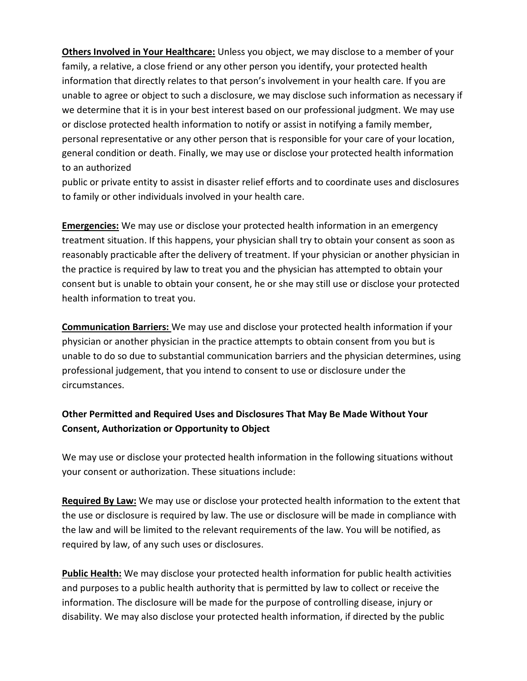**Others Involved in Your Healthcare:** Unless you object, we may disclose to a member of your family, a relative, a close friend or any other person you identify, your protected health information that directly relates to that person's involvement in your health care. If you are unable to agree or object to such a disclosure, we may disclose such information as necessary if we determine that it is in your best interest based on our professional judgment. We may use or disclose protected health information to notify or assist in notifying a family member, personal representative or any other person that is responsible for your care of your location, general condition or death. Finally, we may use or disclose your protected health information to an authorized

public or private entity to assist in disaster relief efforts and to coordinate uses and disclosures to family or other individuals involved in your health care.

**Emergencies:** We may use or disclose your protected health information in an emergency treatment situation. If this happens, your physician shall try to obtain your consent as soon as reasonably practicable after the delivery of treatment. If your physician or another physician in the practice is required by law to treat you and the physician has attempted to obtain your consent but is unable to obtain your consent, he or she may still use or disclose your protected health information to treat you.

**Communication Barriers:** We may use and disclose your protected health information if your physician or another physician in the practice attempts to obtain consent from you but is unable to do so due to substantial communication barriers and the physician determines, using professional judgement, that you intend to consent to use or disclosure under the circumstances.

## **Other Permitted and Required Uses and Disclosures That May Be Made Without Your Consent, Authorization or Opportunity to Object**

We may use or disclose your protected health information in the following situations without your consent or authorization. These situations include:

**Required By Law:** We may use or disclose your protected health information to the extent that the use or disclosure is required by law. The use or disclosure will be made in compliance with the law and will be limited to the relevant requirements of the law. You will be notified, as required by law, of any such uses or disclosures.

**Public Health:** We may disclose your protected health information for public health activities and purposes to a public health authority that is permitted by law to collect or receive the information. The disclosure will be made for the purpose of controlling disease, injury or disability. We may also disclose your protected health information, if directed by the public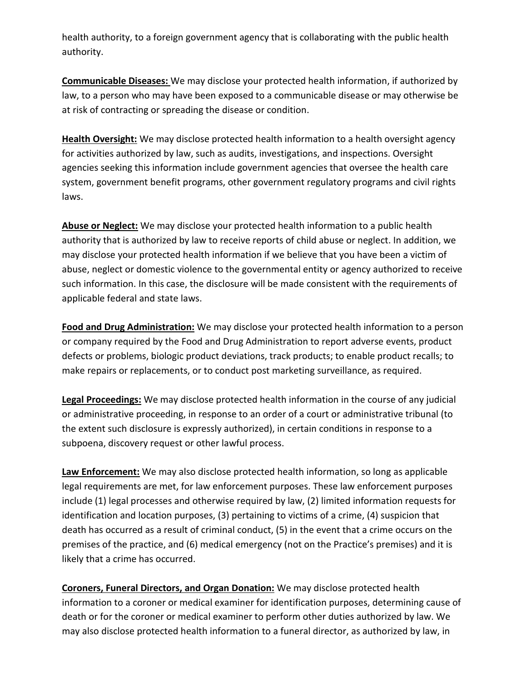health authority, to a foreign government agency that is collaborating with the public health authority.

**Communicable Diseases:** We may disclose your protected health information, if authorized by law, to a person who may have been exposed to a communicable disease or may otherwise be at risk of contracting or spreading the disease or condition.

**Health Oversight:** We may disclose protected health information to a health oversight agency for activities authorized by law, such as audits, investigations, and inspections. Oversight agencies seeking this information include government agencies that oversee the health care system, government benefit programs, other government regulatory programs and civil rights laws.

**Abuse or Neglect:** We may disclose your protected health information to a public health authority that is authorized by law to receive reports of child abuse or neglect. In addition, we may disclose your protected health information if we believe that you have been a victim of abuse, neglect or domestic violence to the governmental entity or agency authorized to receive such information. In this case, the disclosure will be made consistent with the requirements of applicable federal and state laws.

**Food and Drug Administration:** We may disclose your protected health information to a person or company required by the Food and Drug Administration to report adverse events, product defects or problems, biologic product deviations, track products; to enable product recalls; to make repairs or replacements, or to conduct post marketing surveillance, as required.

**Legal Proceedings:** We may disclose protected health information in the course of any judicial or administrative proceeding, in response to an order of a court or administrative tribunal (to the extent such disclosure is expressly authorized), in certain conditions in response to a subpoena, discovery request or other lawful process.

**Law Enforcement:** We may also disclose protected health information, so long as applicable legal requirements are met, for law enforcement purposes. These law enforcement purposes include (1) legal processes and otherwise required by law, (2) limited information requests for identification and location purposes, (3) pertaining to victims of a crime, (4) suspicion that death has occurred as a result of criminal conduct, (5) in the event that a crime occurs on the premises of the practice, and (6) medical emergency (not on the Practice's premises) and it is likely that a crime has occurred.

**Coroners, Funeral Directors, and Organ Donation:** We may disclose protected health information to a coroner or medical examiner for identification purposes, determining cause of death or for the coroner or medical examiner to perform other duties authorized by law. We may also disclose protected health information to a funeral director, as authorized by law, in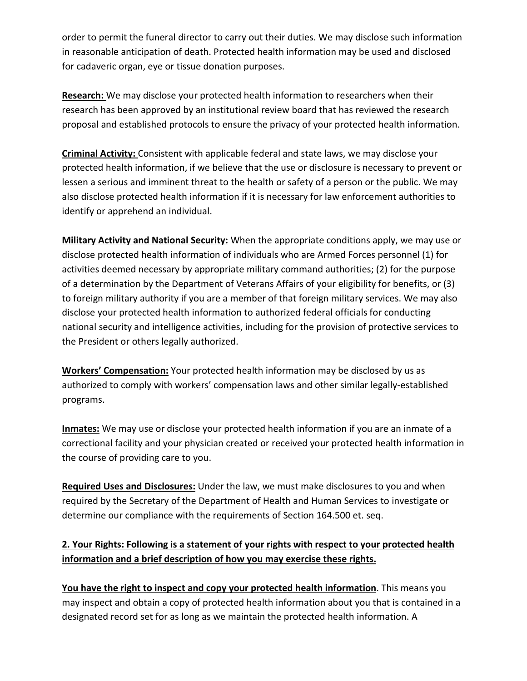order to permit the funeral director to carry out their duties. We may disclose such information in reasonable anticipation of death. Protected health information may be used and disclosed for cadaveric organ, eye or tissue donation purposes.

**Research:** We may disclose your protected health information to researchers when their research has been approved by an institutional review board that has reviewed the research proposal and established protocols to ensure the privacy of your protected health information.

**Criminal Activity:** Consistent with applicable federal and state laws, we may disclose your protected health information, if we believe that the use or disclosure is necessary to prevent or lessen a serious and imminent threat to the health or safety of a person or the public. We may also disclose protected health information if it is necessary for law enforcement authorities to identify or apprehend an individual.

**Military Activity and National Security:** When the appropriate conditions apply, we may use or disclose protected health information of individuals who are Armed Forces personnel (1) for activities deemed necessary by appropriate military command authorities; (2) for the purpose of a determination by the Department of Veterans Affairs of your eligibility for benefits, or (3) to foreign military authority if you are a member of that foreign military services. We may also disclose your protected health information to authorized federal officials for conducting national security and intelligence activities, including for the provision of protective services to the President or others legally authorized.

**Workers' Compensation:** Your protected health information may be disclosed by us as authorized to comply with workers' compensation laws and other similar legally-established programs.

**Inmates:** We may use or disclose your protected health information if you are an inmate of a correctional facility and your physician created or received your protected health information in the course of providing care to you.

**Required Uses and Disclosures:** Under the law, we must make disclosures to you and when required by the Secretary of the Department of Health and Human Services to investigate or determine our compliance with the requirements of Section 164.500 et. seq.

## **2. Your Rights: Following is a statement of your rights with respect to your protected health information and a brief description of how you may exercise these rights.**

**You have the right to inspect and copy your protected health information**. This means you may inspect and obtain a copy of protected health information about you that is contained in a designated record set for as long as we maintain the protected health information. A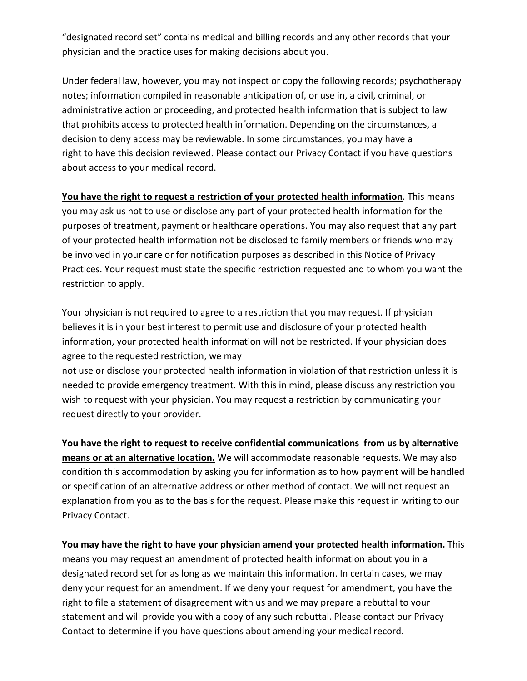"designated record set" contains medical and billing records and any other records that your physician and the practice uses for making decisions about you.

Under federal law, however, you may not inspect or copy the following records; psychotherapy notes; information compiled in reasonable anticipation of, or use in, a civil, criminal, or administrative action or proceeding, and protected health information that is subject to law that prohibits access to protected health information. Depending on the circumstances, a decision to deny access may be reviewable. In some circumstances, you may have a right to have this decision reviewed. Please contact our Privacy Contact if you have questions about access to your medical record.

**You have the right to request a restriction of your protected health information**. This means you may ask us not to use or disclose any part of your protected health information for the purposes of treatment, payment or healthcare operations. You may also request that any part of your protected health information not be disclosed to family members or friends who may be involved in your care or for notification purposes as described in this Notice of Privacy Practices. Your request must state the specific restriction requested and to whom you want the restriction to apply.

Your physician is not required to agree to a restriction that you may request. If physician believes it is in your best interest to permit use and disclosure of your protected health information, your protected health information will not be restricted. If your physician does agree to the requested restriction, we may

not use or disclose your protected health information in violation of that restriction unless it is needed to provide emergency treatment. With this in mind, please discuss any restriction you wish to request with your physician. You may request a restriction by communicating your request directly to your provider.

**You have the right to request to receive confidential communications from us by alternative means or at an alternative location.** We will accommodate reasonable requests. We may also condition this accommodation by asking you for information as to how payment will be handled or specification of an alternative address or other method of contact. We will not request an explanation from you as to the basis for the request. Please make this request in writing to our Privacy Contact.

**You may have the right to have your physician amend your protected health information.** This means you may request an amendment of protected health information about you in a designated record set for as long as we maintain this information. In certain cases, we may deny your request for an amendment. If we deny your request for amendment, you have the right to file a statement of disagreement with us and we may prepare a rebuttal to your statement and will provide you with a copy of any such rebuttal. Please contact our Privacy Contact to determine if you have questions about amending your medical record.